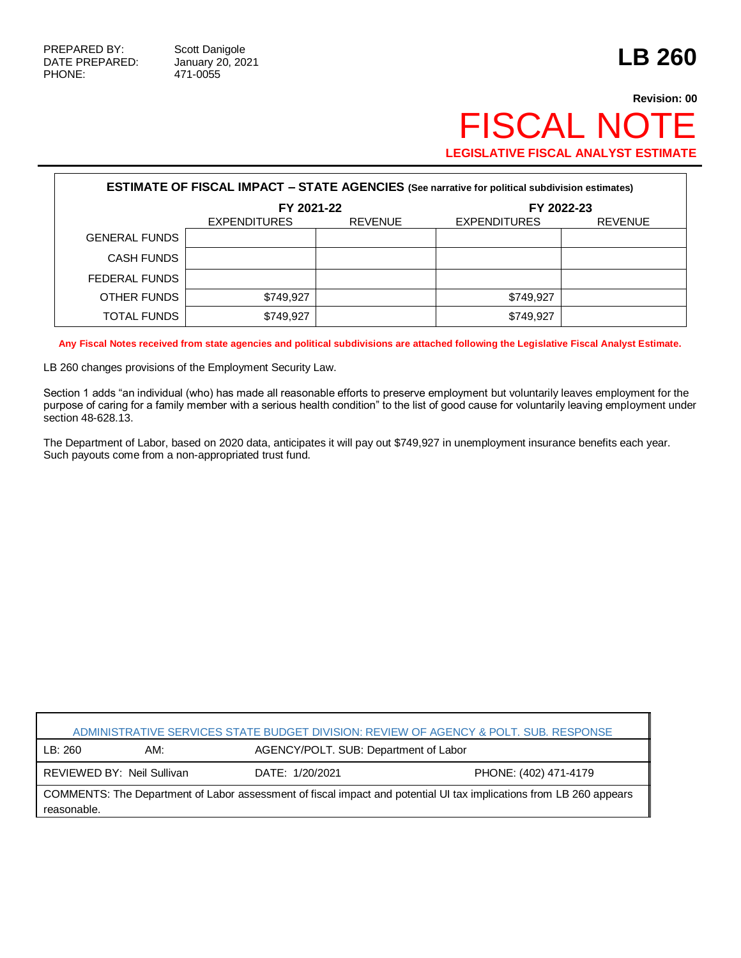Г

## **Revision: 00** FISCAL NOTE **LEGISLATIVE FISCAL ANALYST ESTIMATE**

| <b>ESTIMATE OF FISCAL IMPACT - STATE AGENCIES</b> (See narrative for political subdivision estimates) |                     |                |                     |                |  |
|-------------------------------------------------------------------------------------------------------|---------------------|----------------|---------------------|----------------|--|
|                                                                                                       | FY 2021-22          |                | FY 2022-23          |                |  |
|                                                                                                       | <b>EXPENDITURES</b> | <b>REVENUE</b> | <b>EXPENDITURES</b> | <b>REVENUE</b> |  |
| <b>GENERAL FUNDS</b>                                                                                  |                     |                |                     |                |  |
| <b>CASH FUNDS</b>                                                                                     |                     |                |                     |                |  |
| FEDERAL FUNDS                                                                                         |                     |                |                     |                |  |
| OTHER FUNDS                                                                                           | \$749,927           |                | \$749,927           |                |  |
| TOTAL FUNDS                                                                                           | \$749,927           |                | \$749,927           |                |  |

**Any Fiscal Notes received from state agencies and political subdivisions are attached following the Legislative Fiscal Analyst Estimate.**

LB 260 changes provisions of the Employment Security Law.

Section 1 adds "an individual (who) has made all reasonable efforts to preserve employment but voluntarily leaves employment for the purpose of caring for a family member with a serious health condition" to the list of good cause for voluntarily leaving employment under section 48-628.13.

The Department of Labor, based on 2020 data, anticipates it will pay out \$749,927 in unemployment insurance benefits each year. Such payouts come from a non-appropriated trust fund.

| ADMINISTRATIVE SERVICES STATE BUDGET DIVISION: REVIEW OF AGENCY & POLT. SUB. RESPONSE                                              |                            |                 |                                       |  |  |
|------------------------------------------------------------------------------------------------------------------------------------|----------------------------|-----------------|---------------------------------------|--|--|
| LB:260                                                                                                                             | AM:                        |                 | AGENCY/POLT. SUB: Department of Labor |  |  |
|                                                                                                                                    | REVIEWED BY: Neil Sullivan | DATE: 1/20/2021 | PHONE: (402) 471-4179                 |  |  |
| COMMENTS: The Department of Labor assessment of fiscal impact and potential UI tax implications from LB 260 appears<br>reasonable. |                            |                 |                                       |  |  |